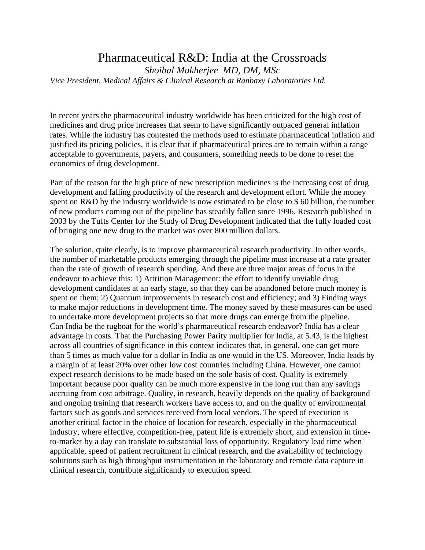## Pharmaceutical R&D: India at the Crossroads

*Shoibal Mukherjee MD, DM, MSc Vice President, Medical Affairs & Clinical Research at Ranbaxy Laboratories Ltd.* 

In recent years the pharmaceutical industry worldwide has been criticized for the high cost of medicines and drug price increases that seem to have significantly outpaced general inflation rates. While the industry has contested the methods used to estimate pharmaceutical inflation and justified its pricing policies, it is clear that if pharmaceutical prices are to remain within a range acceptable to governments, payers, and consumers, something needs to be done to reset the economics of drug development.

Part of the reason for the high price of new prescription medicines is the increasing cost of drug development and falling productivity of the research and development effort. While the money spent on R&D by the industry worldwide is now estimated to be close to \$ 60 billion, the number of new products coming out of the pipeline has steadily fallen since 1996. Research published in 2003 by the Tufts Center for the Study of Drug Development indicated that the fully loaded cost of bringing one new drug to the market was over 800 million dollars.

The solution, quite clearly, is to improve pharmaceutical research productivity. In other words, the number of marketable products emerging through the pipeline must increase at a rate greater than the rate of growth of research spending. And there are three major areas of focus in the endeavor to achieve this: 1) Attrition Management: the effort to identify unviable drug development candidates at an early stage, so that they can be abandoned before much money is spent on them; 2) Quantum improvements in research cost and efficiency; and 3) Finding ways to make major reductions in development time. The money saved by these measures can be used to undertake more development projects so that more drugs can emerge from the pipeline. Can India be the tugboat for the world's pharmaceutical research endeavor? India has a clear advantage in costs. That the Purchasing Power Parity multiplier for India, at 5.43, is the highest across all countries of significance in this context indicates that, in general, one can get more than 5 times as much value for a dollar in India as one would in the US. Moreover, India leads by a margin of at least 20% over other low cost countries including China. However, one cannot expect research decisions to be made based on the sole basis of cost. Quality is extremely important because poor quality can be much more expensive in the long run than any savings accruing from cost arbitrage. Quality, in research, heavily depends on the quality of background and ongoing training that research workers have access to, and on the quality of environmental factors such as goods and services received from local vendors. The speed of execution is another critical factor in the choice of location for research, especially in the pharmaceutical industry, where effective, competition-free, patent life is extremely short, and extension in timeto-market by a day can translate to substantial loss of opportunity. Regulatory lead time when applicable, speed of patient recruitment in clinical research, and the availability of technology solutions such as high throughput instrumentation in the laboratory and remote data capture in clinical research, contribute significantly to execution speed.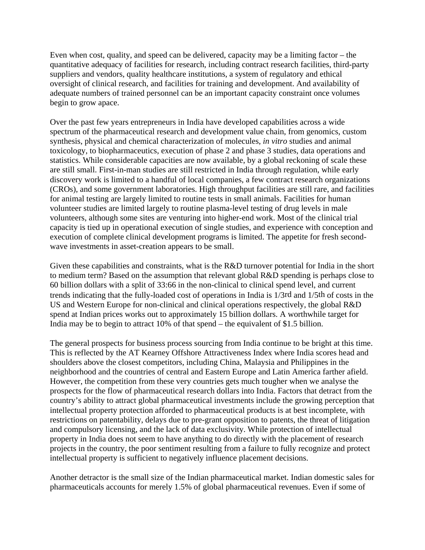Even when cost, quality, and speed can be delivered, capacity may be a limiting factor – the quantitative adequacy of facilities for research, including contract research facilities, third-party suppliers and vendors, quality healthcare institutions, a system of regulatory and ethical oversight of clinical research, and facilities for training and development. And availability of adequate numbers of trained personnel can be an important capacity constraint once volumes begin to grow apace.

Over the past few years entrepreneurs in India have developed capabilities across a wide spectrum of the pharmaceutical research and development value chain, from genomics, custom synthesis, physical and chemical characterization of molecules, *in vitro* studies and animal toxicology, to biopharmaceutics, execution of phase 2 and phase 3 studies, data operations and statistics. While considerable capacities are now available, by a global reckoning of scale these are still small. First-in-man studies are still restricted in India through regulation, while early discovery work is limited to a handful of local companies, a few contract research organizations (CROs), and some government laboratories. High throughput facilities are still rare, and facilities for animal testing are largely limited to routine tests in small animals. Facilities for human volunteer studies are limited largely to routine plasma-level testing of drug levels in male volunteers, although some sites are venturing into higher-end work. Most of the clinical trial capacity is tied up in operational execution of single studies, and experience with conception and execution of complete clinical development programs is limited. The appetite for fresh secondwave investments in asset-creation appears to be small.

Given these capabilities and constraints, what is the R&D turnover potential for India in the short to medium term? Based on the assumption that relevant global R&D spending is perhaps close to 60 billion dollars with a split of 33:66 in the non-clinical to clinical spend level, and current trends indicating that the fully-loaded cost of operations in India is 1/3rd and 1/5th of costs in the US and Western Europe for non-clinical and clinical operations respectively, the global R&D spend at Indian prices works out to approximately 15 billion dollars. A worthwhile target for India may be to begin to attract 10% of that spend – the equivalent of \$1.5 billion.

The general prospects for business process sourcing from India continue to be bright at this time. This is reflected by the AT Kearney Offshore Attractiveness Index where India scores head and shoulders above the closest competitors, including China, Malaysia and Philippines in the neighborhood and the countries of central and Eastern Europe and Latin America farther afield. However, the competition from these very countries gets much tougher when we analyse the prospects for the flow of pharmaceutical research dollars into India. Factors that detract from the country's ability to attract global pharmaceutical investments include the growing perception that intellectual property protection afforded to pharmaceutical products is at best incomplete, with restrictions on patentability, delays due to pre-grant opposition to patents, the threat of litigation and compulsory licensing, and the lack of data exclusivity. While protection of intellectual property in India does not seem to have anything to do directly with the placement of research projects in the country, the poor sentiment resulting from a failure to fully recognize and protect intellectual property is sufficient to negatively influence placement decisions.

Another detractor is the small size of the Indian pharmaceutical market. Indian domestic sales for pharmaceuticals accounts for merely 1.5% of global pharmaceutical revenues. Even if some of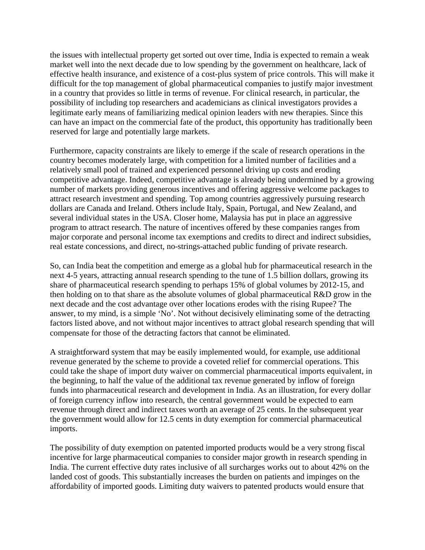the issues with intellectual property get sorted out over time, India is expected to remain a weak market well into the next decade due to low spending by the government on healthcare, lack of effective health insurance, and existence of a cost-plus system of price controls. This will make it difficult for the top management of global pharmaceutical companies to justify major investment in a country that provides so little in terms of revenue. For clinical research, in particular, the possibility of including top researchers and academicians as clinical investigators provides a legitimate early means of familiarizing medical opinion leaders with new therapies. Since this can have an impact on the commercial fate of the product, this opportunity has traditionally been reserved for large and potentially large markets.

Furthermore, capacity constraints are likely to emerge if the scale of research operations in the country becomes moderately large, with competition for a limited number of facilities and a relatively small pool of trained and experienced personnel driving up costs and eroding competitive advantage. Indeed, competitive advantage is already being undermined by a growing number of markets providing generous incentives and offering aggressive welcome packages to attract research investment and spending. Top among countries aggressively pursuing research dollars are Canada and Ireland. Others include Italy, Spain, Portugal, and New Zealand, and several individual states in the USA. Closer home, Malaysia has put in place an aggressive program to attract research. The nature of incentives offered by these companies ranges from major corporate and personal income tax exemptions and credits to direct and indirect subsidies, real estate concessions, and direct, no-strings-attached public funding of private research.

So, can India beat the competition and emerge as a global hub for pharmaceutical research in the next 4-5 years, attracting annual research spending to the tune of 1.5 billion dollars, growing its share of pharmaceutical research spending to perhaps 15% of global volumes by 2012-15, and then holding on to that share as the absolute volumes of global pharmaceutical R&D grow in the next decade and the cost advantage over other locations erodes with the rising Rupee? The answer, to my mind, is a simple 'No'. Not without decisively eliminating some of the detracting factors listed above, and not without major incentives to attract global research spending that will compensate for those of the detracting factors that cannot be eliminated.

A straightforward system that may be easily implemented would, for example, use additional revenue generated by the scheme to provide a coveted relief for commercial operations. This could take the shape of import duty waiver on commercial pharmaceutical imports equivalent, in the beginning, to half the value of the additional tax revenue generated by inflow of foreign funds into pharmaceutical research and development in India. As an illustration, for every dollar of foreign currency inflow into research, the central government would be expected to earn revenue through direct and indirect taxes worth an average of 25 cents. In the subsequent year the government would allow for 12.5 cents in duty exemption for commercial pharmaceutical imports.

The possibility of duty exemption on patented imported products would be a very strong fiscal incentive for large pharmaceutical companies to consider major growth in research spending in India. The current effective duty rates inclusive of all surcharges works out to about 42% on the landed cost of goods. This substantially increases the burden on patients and impinges on the affordability of imported goods. Limiting duty waivers to patented products would ensure that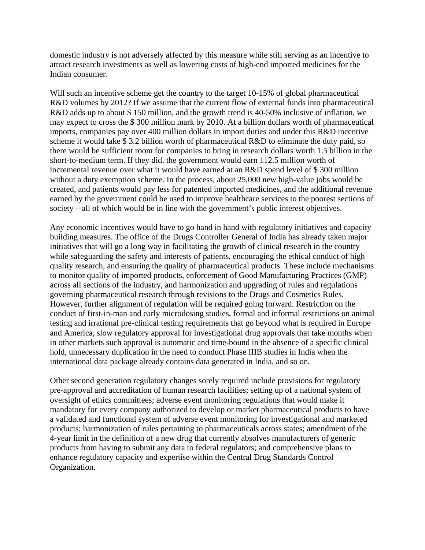domestic industry is not adversely affected by this measure while still serving as an incentive to attract research investments as well as lowering costs of high-end imported medicines for the Indian consumer.

Will such an incentive scheme get the country to the target 10-15% of global pharmaceutical R&D volumes by 2012? If we assume that the current flow of external funds into pharmaceutical R&D adds up to about \$ 150 million, and the growth trend is 40-50% inclusive of inflation, we may expect to cross the \$ 300 million mark by 2010. At a billion dollars worth of pharmaceutical imports, companies pay over 400 million dollars in import duties and under this R&D incentive scheme it would take \$3.2 billion worth of pharmaceutical R&D to eliminate the duty paid, so there would be sufficient room for companies to bring in research dollars worth 1.5 billion in the short-to-medium term. If they did, the government would earn 112.5 million worth of incremental revenue over what it would have earned at an R&D spend level of \$ 300 million without a duty exemption scheme. In the process, about 25,000 new high-value jobs would be created, and patients would pay less for patented imported medicines, and the additional revenue earned by the government could be used to improve healthcare services to the poorest sections of society – all of which would be in line with the government's public interest objectives.

Any economic incentives would have to go hand in hand with regulatory initiatives and capacity building measures. The office of the Drugs Controller General of India has already taken major initiatives that will go a long way in facilitating the growth of clinical research in the country while safeguarding the safety and interests of patients, encouraging the ethical conduct of high quality research, and ensuring the quality of pharmaceutical products. These include mechanisms to monitor quality of imported products, enforcement of Good Manufacturing Practices (GMP) across all sections of the industry, and harmonization and upgrading of rules and regulations governing pharmaceutical research through revisions to the Drugs and Cosmetics Rules. However, further alignment of regulation will be required going forward. Restriction on the conduct of first-in-man and early microdosing studies, formal and informal restrictions on animal testing and irrational pre-clinical testing requirements that go beyond what is required in Europe and America, slow regulatory approval for investigational drug approvals that take months when in other markets such approval is automatic and time-bound in the absence of a specific clinical hold, unnecessary duplication in the need to conduct Phase IIIB studies in India when the international data package already contains data generated in India, and so on.

Other second generation regulatory changes sorely required include provisions for regulatory pre-approval and accreditation of human research facilities; setting up of a national system of oversight of ethics committees; adverse event monitoring regulations that would make it mandatory for every company authorized to develop or market pharmaceutical products to have a validated and functional system of adverse event monitoring for investigational and marketed products; harmonization of rules pertaining to pharmaceuticals across states; amendment of the 4-year limit in the definition of a new drug that currently absolves manufacturers of generic products from having to submit any data to federal regulators; and comprehensive plans to enhance regulatory capacity and expertise within the Central Drug Standards Control Organization.